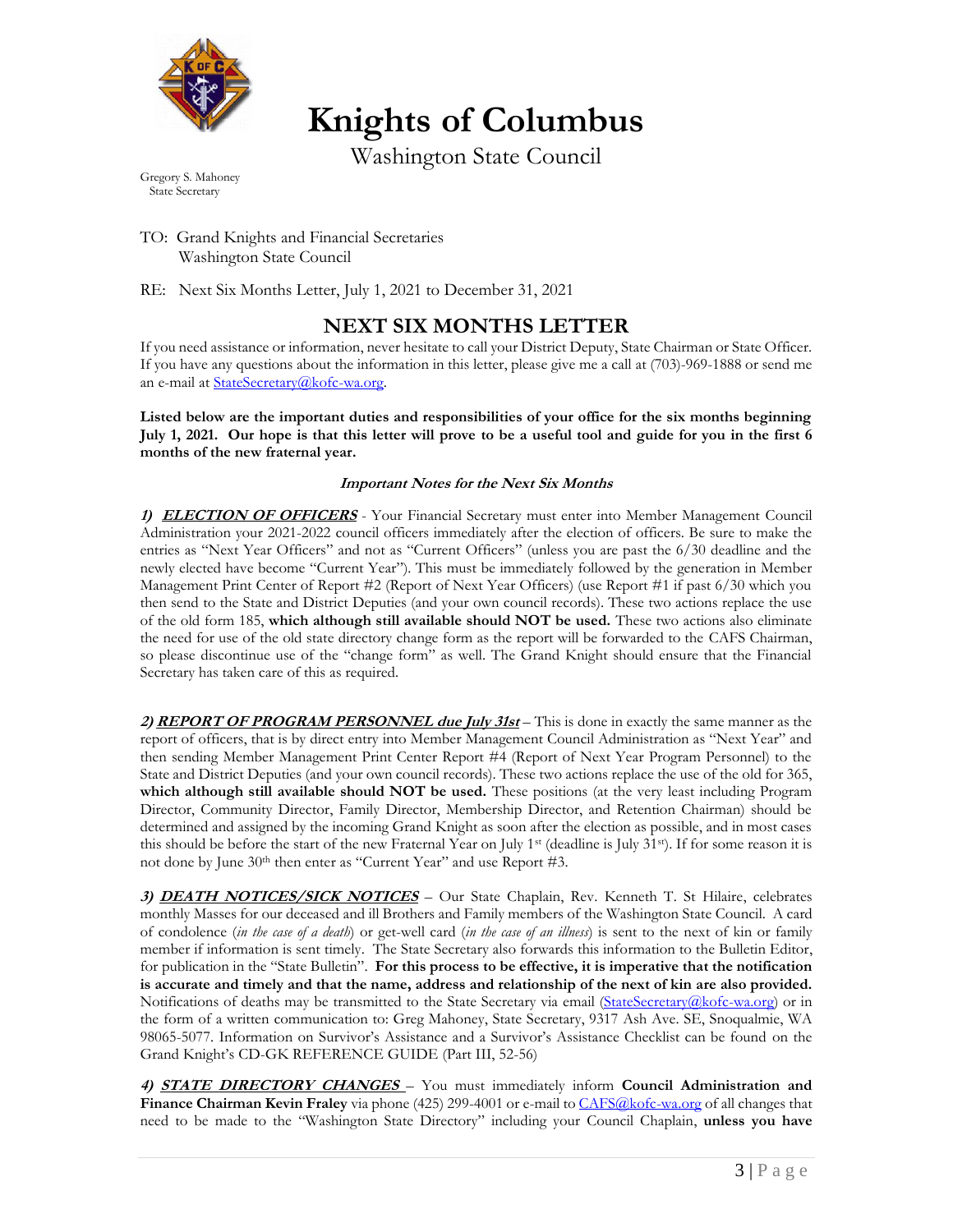

**Knights of Columbus**

Washington State Council

Gregory S. Mahoney State Secretary

TO: Grand Knights and Financial Secretaries Washington State Council

RE: Next Six Months Letter, July 1, 2021 to December 31, 2021

## **NEXT SIX MONTHS LETTER**

If you need assistance or information, never hesitate to call your District Deputy, State Chairman or State Officer. If you have any questions about the information in this letter, please give me a call at (703)-969-1888 or send me an e-mail at [StateSecretary@kofc-wa.org.](about:blank)

**Listed below are the important duties and responsibilities of your office for the six months beginning July 1, 2021. Our hope is that this letter will prove to be a useful tool and guide for you in the first 6 months of the new fraternal year.**

## **Important Notes for the Next Six Months**

1) **ELECTION OF OFFICERS** - Your Financial Secretary must enter into Member Management Council Administration your 2021-2022 council officers immediately after the election of officers. Be sure to make the entries as "Next Year Officers" and not as "Current Officers" (unless you are past the 6/30 deadline and the newly elected have become "Current Year"). This must be immediately followed by the generation in Member Management Print Center of Report #2 (Report of Next Year Officers) (use Report #1 if past 6/30 which you then send to the State and District Deputies (and your own council records). These two actions replace the use of the old form 185, **which although still available should NOT be used.** These two actions also eliminate the need for use of the old state directory change form as the report will be forwarded to the CAFS Chairman, so please discontinue use of the "change form" as well. The Grand Knight should ensure that the Financial Secretary has taken care of this as required.

**2) REPORT OF PROGRAM PERSONNEL due July 31st** – This is done in exactly the same manner as the report of officers, that is by direct entry into Member Management Council Administration as "Next Year" and then sending Member Management Print Center Report #4 (Report of Next Year Program Personnel) to the State and District Deputies (and your own council records). These two actions replace the use of the old for 365, **which although still available should NOT be used.** These positions (at the very least including Program Director, Community Director, Family Director, Membership Director, and Retention Chairman) should be determined and assigned by the incoming Grand Knight as soon after the election as possible, and in most cases this should be before the start of the new Fraternal Year on July 1<sup>st</sup> (deadline is July 31<sup>st</sup>). If for some reason it is not done by June 30<sup>th</sup> then enter as "Current Year" and use Report #3.

**3) DEATH NOTICES/SICK NOTICES** – Our State Chaplain, Rev. Kenneth T. St Hilaire, celebrates monthly Masses for our deceased and ill Brothers and Family members of the Washington State Council. A card of condolence (*in the case of a death*) or get-well card (*in the case of an illness*) is sent to the next of kin or family member if information is sent timely. The State Secretary also forwards this information to the Bulletin Editor, for publication in the "State Bulletin". **For this process to be effective, it is imperative that the notification is accurate and timely and that the name, address and relationship of the next of kin are also provided.** Notifications of deaths may be transmitted to the State Secretary via email [\(StateSecretary@kofc-wa.org\)](about:blank) or in the form of a written communication to: Greg Mahoney, State Secretary, 9317 Ash Ave. SE, Snoqualmie, WA 98065-5077. Information on Survivor's Assistance and a Survivor's Assistance Checklist can be found on the Grand Knight's CD-GK REFERENCE GUIDE (Part III, 52-56)

**4) STATE DIRECTORY CHANGES** – You must immediately inform **Council Administration and Finance Chairman Kevin Fraley** via phone (425) 299-4001 or e-mail to [CAFS@kofc-wa.org](mailto:CAFS@kofc-wa.org) of all changes that need to be made to the "Washington State Directory" including your Council Chaplain, **unless you have**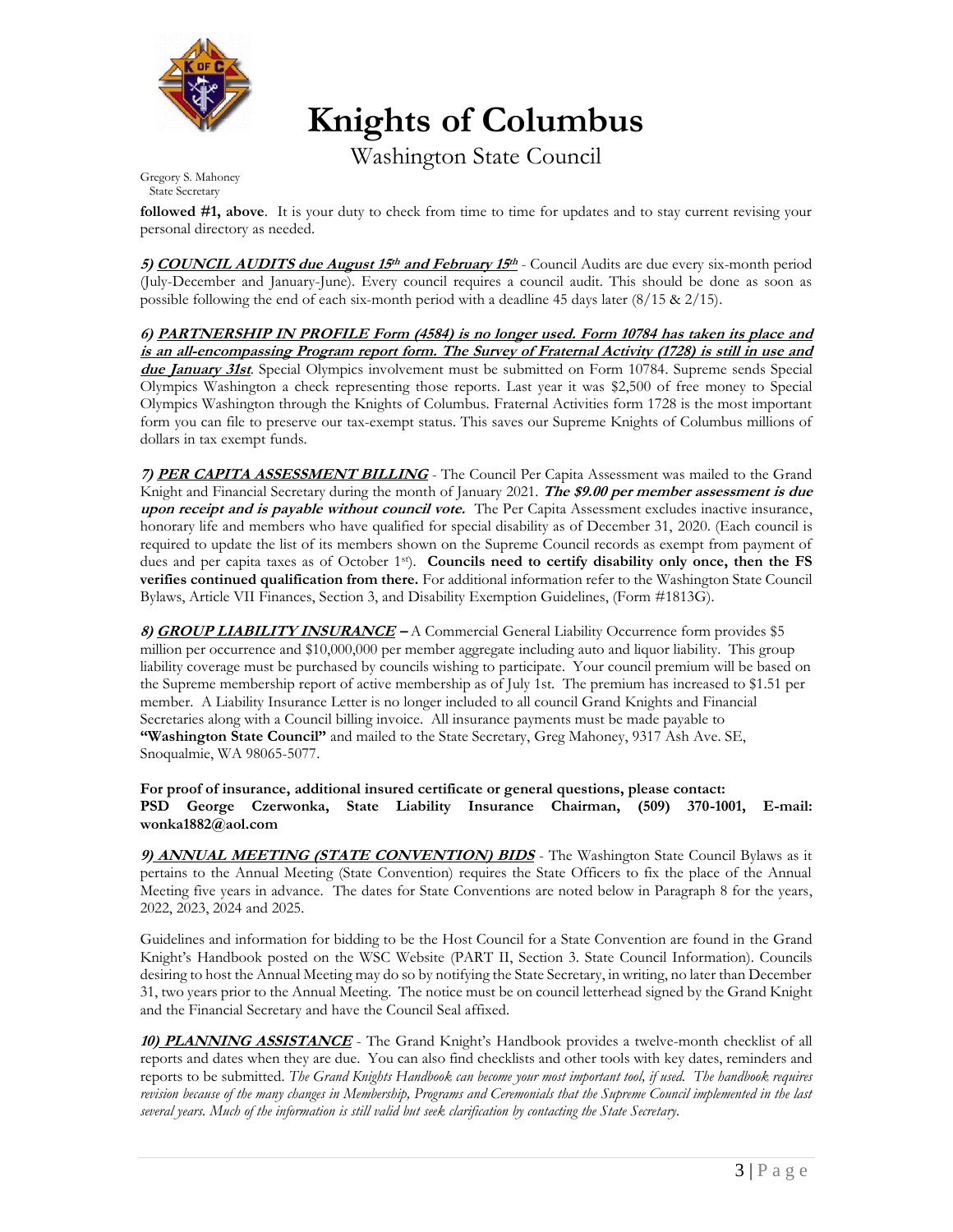

**Knights of Columbus**

Washington State Council

Gregory S. Mahoney State Secretary

**followed #1, above**. It is your duty to check from time to time for updates and to stay current revising your personal directory as needed.

**5) COUNCIL AUDITS due August 15<sup>th</sup> and February 15<sup>th</sup> - Council Audits are due every six-month period** (July-December and January-June). Every council requires a council audit. This should be done as soon as possible following the end of each six-month period with a deadline 45 days later (8/15 & 2/15).

**6) PARTNERSHIP IN PROFILE Form (4584) is no longer used. Form 10784 has taken its place and is an all-encompassing Program report form. The Survey of Fraternal Activity (1728) is still in use and due January 31st**. Special Olympics involvement must be submitted on Form 10784. Supreme sends Special Olympics Washington a check representing those reports. Last year it was \$2,500 of free money to Special Olympics Washington through the Knights of Columbus. Fraternal Activities form 1728 is the most important form you can file to preserve our tax-exempt status. This saves our Supreme Knights of Columbus millions of dollars in tax exempt funds.

**7) PER CAPITA ASSESSMENT BILLING** - The Council Per Capita Assessment was mailed to the Grand Knight and Financial Secretary during the month of January 2021. **The \$9.00 per member assessment is due upon receipt and is payable without council vote.** The Per Capita Assessment excludes inactive insurance, honorary life and members who have qualified for special disability as of December 31, 2020. (Each council is required to update the list of its members shown on the Supreme Council records as exempt from payment of dues and per capita taxes as of October 1st). **Councils need to certify disability only once, then the FS verifies continued qualification from there.** For additional information refer to the Washington State Council Bylaws, Article VII Finances, Section 3, and Disability Exemption Guidelines, (Form #1813G).

**8) GROUP LIABILITY INSURANCE –** A Commercial General Liability Occurrence form provides \$5 million per occurrence and \$10,000,000 per member aggregate including auto and liquor liability. This group liability coverage must be purchased by councils wishing to participate. Your council premium will be based on the Supreme membership report of active membership as of July 1st. The premium has increased to \$1.51 per member. A Liability Insurance Letter is no longer included to all council Grand Knights and Financial Secretaries along with a Council billing invoice. All insurance payments must be made payable to **"Washington State Council"** and mailed to the State Secretary, Greg Mahoney, 9317 Ash Ave. SE, Snoqualmie, WA 98065-5077.

**For proof of insurance, additional insured certificate or general questions, please contact: PSD George Czerwonka, State Liability Insurance Chairman, (509) 370-1001, E-mail: wonka1882@aol.com**

**9) ANNUAL MEETING (STATE CONVENTION) BIDS** - The Washington State Council Bylaws as it pertains to the Annual Meeting (State Convention) requires the State Officers to fix the place of the Annual Meeting five years in advance. The dates for State Conventions are noted below in Paragraph 8 for the years, 2022, 2023, 2024 and 2025.

Guidelines and information for bidding to be the Host Council for a State Convention are found in the Grand Knight's Handbook posted on the WSC Website (PART II, Section 3. State Council Information). Councils desiring to host the Annual Meeting may do so by notifying the State Secretary, in writing, no later than December 31, two years prior to the Annual Meeting. The notice must be on council letterhead signed by the Grand Knight and the Financial Secretary and have the Council Seal affixed.

**10) PLANNING ASSISTANCE** - The Grand Knight's Handbook provides a twelve-month checklist of all reports and dates when they are due. You can also find checklists and other tools with key dates, reminders and reports to be submitted*. The Grand Knights Handbook can become your most important tool, if used. The handbook requires revision because of the many changes in Membership, Programs and Ceremonials that the Supreme Council implemented in the last several years. Much of the information is still valid but seek clarification by contacting the State Secretary.*